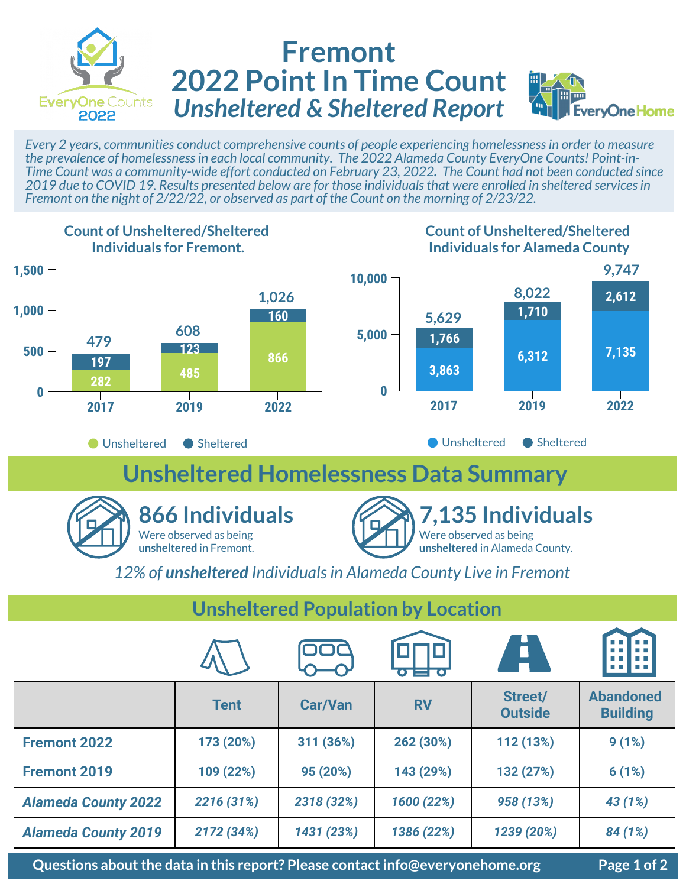

## **Fremont 2022 Point In Time Count** *Unsheltered & Sheltered Report*



*Every 2 years, communities conduct comprehensive counts of people experiencing homelessness in order to measure the prevalence of homelessness in each local community. The 2022 Alameda County EveryOne Counts! Point-in-Time Count was a community-wide effort conducted on February 23, 2022. The Count had not been conducted since 2019 due to COVID 19. Results presented below are for those individuals that were enrolled in sheltered services in Fremont on the night of 2/22/22, or observed as part of the Count on the morning of 2/23/22.* 



#### **Unsheltered Population by Location**

|                            |             |                | $\overline{\mathbf{C}}$ . The set $\overline{\mathbf{C}}$ | Ē                         | 19 H H H H H                        |
|----------------------------|-------------|----------------|-----------------------------------------------------------|---------------------------|-------------------------------------|
|                            | <b>Tent</b> | <b>Car/Van</b> | <b>RV</b>                                                 | Street/<br><b>Outside</b> | <b>Abandoned</b><br><b>Building</b> |
| <b>Fremont 2022</b>        | 173 (20%)   | 311 (36%)      | 262 (30%)                                                 | 112 (13%)                 | 9(1%)                               |
| <b>Fremont 2019</b>        | 109 (22%)   | 95 (20%)       | 143 (29%)                                                 | 132 (27%)                 | 6(1%)                               |
| <b>Alameda County 2022</b> | 2216 (31%)  | 2318 (32%)     | 1600 (22%)                                                | 958 (13%)                 | 43 (1%)                             |
| <b>Alameda County 2019</b> | 2172 (34%)  | 1431 (23%)     | 1386 (22%)                                                | 1239 (20%)                | 84 (1%)                             |

**Questions about the data in this report? Please contact info@everyonehome.org Page 1 of 2**